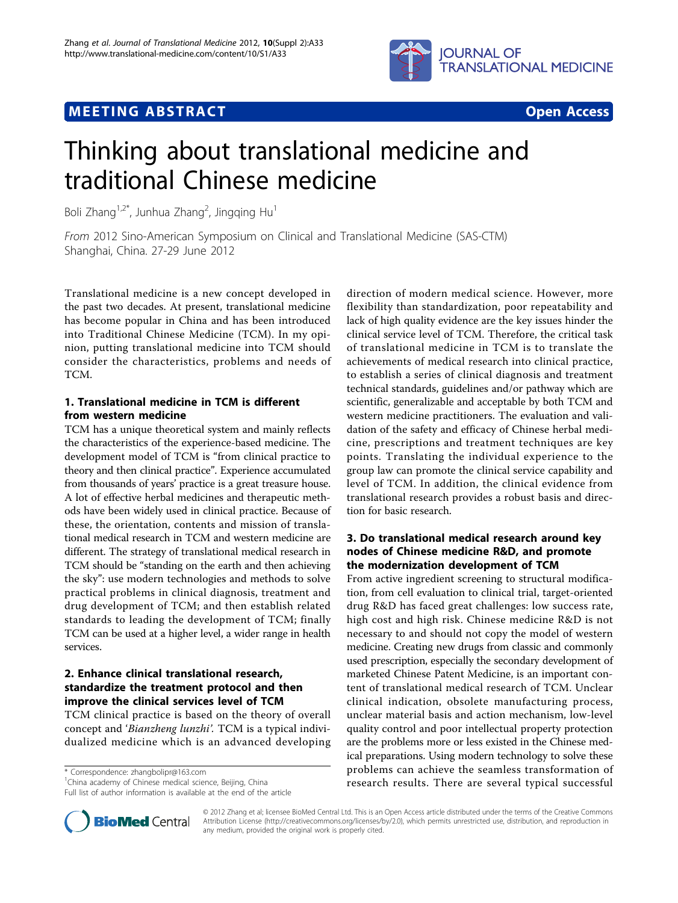

## **MEETING ABSTRACT And CONSTRACT CONSTRACT CONSTRACT**



# Thinking about translational medicine and traditional Chinese medicine

Boli Zhang $^{1,2^*}$ , Junhua Zhang<sup>2</sup>, Jingqing Hu<sup>1</sup>

From 2012 Sino-American Symposium on Clinical and Translational Medicine (SAS-CTM) Shanghai, China. 27-29 June 2012

Translational medicine is a new concept developed in the past two decades. At present, translational medicine has become popular in China and has been introduced into Traditional Chinese Medicine (TCM). In my opinion, putting translational medicine into TCM should consider the characteristics, problems and needs of TCM.

## 1. Translational medicine in TCM is different from western medicine

TCM has a unique theoretical system and mainly reflects the characteristics of the experience-based medicine. The development model of TCM is "from clinical practice to theory and then clinical practice". Experience accumulated from thousands of years' practice is a great treasure house. A lot of effective herbal medicines and therapeutic methods have been widely used in clinical practice. Because of these, the orientation, contents and mission of translational medical research in TCM and western medicine are different. The strategy of translational medical research in TCM should be "standing on the earth and then achieving the sky": use modern technologies and methods to solve practical problems in clinical diagnosis, treatment and drug development of TCM; and then establish related standards to leading the development of TCM; finally TCM can be used at a higher level, a wider range in health services.

## 2. Enhance clinical translational research, standardize the treatment protocol and then improve the clinical services level of TCM

TCM clinical practice is based on the theory of overall concept and 'Bianzheng lunzhi'. TCM is a typical individualized medicine which is an advanced developing

\* Correspondence: [zhangbolipr@163.com](mailto:zhangbolipr@163.com)

<sup>1</sup>China academy of Chinese medical science, Beijing, China

Full list of author information is available at the end of the article



### 3. Do translational medical research around key nodes of Chinese medicine R&D, and promote the modernization development of TCM

From active ingredient screening to structural modification, from cell evaluation to clinical trial, target-oriented drug R&D has faced great challenges: low success rate, high cost and high risk. Chinese medicine R&D is not necessary to and should not copy the model of western medicine. Creating new drugs from classic and commonly used prescription, especially the secondary development of marketed Chinese Patent Medicine, is an important content of translational medical research of TCM. Unclear clinical indication, obsolete manufacturing process, unclear material basis and action mechanism, low-level quality control and poor intellectual property protection are the problems more or less existed in the Chinese medical preparations. Using modern technology to solve these problems can achieve the seamless transformation of research results. There are several typical successful



© 2012 Zhang et al; licensee BioMed Central Ltd. This is an Open Access article distributed under the terms of the Creative Commons Attribution License [\(http://creativecommons.org/licenses/by/2.0](http://creativecommons.org/licenses/by/2.0)), which permits unrestricted use, distribution, and reproduction in any medium, provided the original work is properly cited.